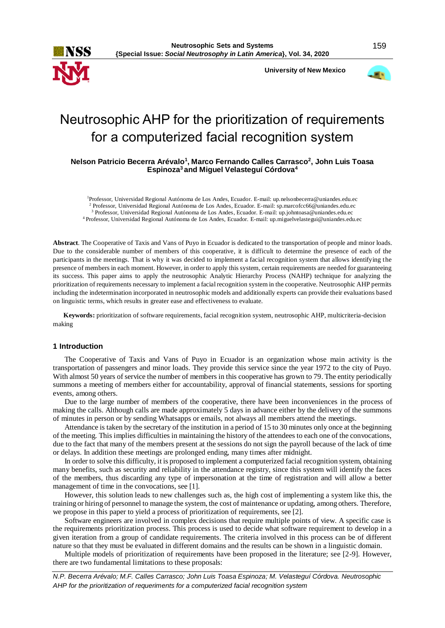**University of New Mexico**



# Neutrosophic AHP for the prioritization of requirements for a computerized facial recognition system

**Nelson Patricio Becerra Arévalo<sup>1</sup> , Marco Fernando Calles Carrasco<sup>2</sup> , John Luis Toasa Espinoza<sup>3</sup>and Miguel Velasteguí Córdova<sup>4</sup>**

Professor, Universidad Regional Autónoma de Los Andes, Ecuador. E-mail: up.nelsonbecerra@uniandes.edu.ec Professor, Universidad Regional Autónoma de Los Andes, Ecuador. E-mail: sp.marcofcc66@uniandes.edu.ec Professor, Universidad Regional Autónoma de Los Andes, Ecuador. E-mail: up.johntoasa@uniandes.edu.ec Professor, Universidad Regional Autónoma de Los Andes, Ecuador. E-mail: up.miguelvelastegui@uniandes.edu.ec

**Abstract**. The Cooperative of Taxis and Vans of Puyo in Ecuador is dedicated to the transportation of people and minor loads. Due to the considerable number of members of this cooperative, it is difficult to determine the presence of each of the participants in the meetings. That is why it was decided to implement a facial recognition system that allows identifying the presence of members in each moment. However, in order to apply this system, certain requirements are needed for guaranteeing its success. This paper aims to apply the neutrosophic Analytic Hierarchy Process (NAHP) technique for analyzing the prioritization of requirements necessary to implement a facial recognition system in the cooperative. Neutrosophic AHP permits including the indetermination incorporated in neutrosophic models and additionally experts can provide their evaluations based on linguistic terms, which results in greater ease and effectiveness to evaluate.

**Keywords:** prioritization of software requirements, facial recognition system, neutrosophic AHP, multicriteria-decision making

# **1 Introduction**

The Cooperative of Taxis and Vans of Puyo in Ecuador is an organization whose main activity is the transportation of passengers and minor loads. They provide this service since the year 1972 to the city of Puyo. With almost 50 years of service the number of members in this cooperative has grown to 79. The entity periodically summons a meeting of members either for accountability, approval of financial statements, sessions for sporting events, among others.

Due to the large number of members of the cooperative, there have been inconveniences in the process of making the calls. Although calls are made approximately 5 days in advance either by the delivery of the summons of minutes in person or by sending Whatsapps or emails, not always all members attend the meetings.

Attendance is taken by the secretary of the institution in a period of 15 to 30 minutes only once at the beginning of the meeting. This implies difficulties in maintaining the history of the attendees to each one of the convocations, due to the fact that many of the members present at the sessions do not sign the payroll because of the lack of time or delays. In addition these meetings are prolonged ending, many times after midnight.

In order to solve this difficulty, it is proposed to implement a computerized facial recognition system, obtaining many benefits, such as security and reliability in the attendance registry, since this system will identify the faces of the members, thus discarding any type of impersonation at the time of registration and will allow a better management of time in the convocations, see [1].

However, this solution leads to new challenges such as, the high cost of implementing a system like this, the training or hiring of personnel to manage the system, the cost of maintenance or updating, among others. Therefore, we propose in this paper to yield a process of prioritization of requirements, see [2].

Software engineers are involved in complex decisions that require multiple points of view. A specific case is the requirements prioritization process. This process is used to decide what software requirement to develop in a given iteration from a group of candidate requirements. The criteria involved in this process can be of different nature so that they must be evaluated in different domains and the results can be shown in a linguistic domain.

Multiple models of prioritization of requirements have been proposed in the literature; see [2-9]. However, there are two fundamental limitations to these proposals: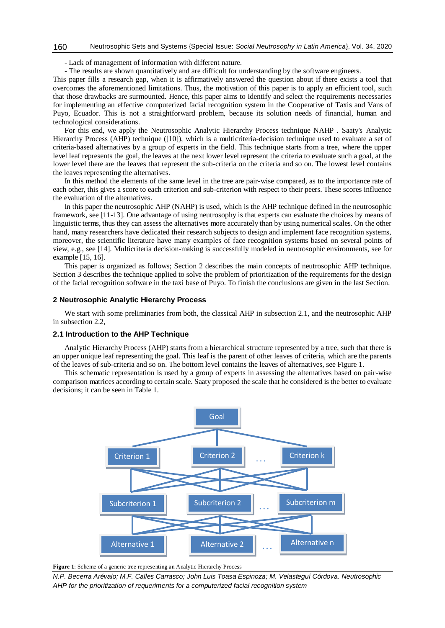#### Neutrosophic Sets and Systems {Special Issue: *Social Neutrosophy in Latin America*}, Vol. 34, 2020 160

- Lack of management of information with different nature.

- The results are shown quantitatively and are difficult for understanding by the software engineers.

This paper fills a research gap, when it is affirmatively answered the question about if there exists a tool that overcomes the aforementioned limitations. Thus, the motivation of this paper is to apply an efficient tool, such that those drawbacks are surmounted. Hence, this paper aims to identify and select the requirements necessaries for implementing an effective computerized facial recognition system in the Cooperative of Taxis and Vans of Puyo, Ecuador. This is not a straightforward problem, because its solution needs of financial, human and technological considerations.

For this end, we apply the Neutrosophic Analytic Hierarchy Process technique NAHP . Saaty's Analytic Hierarchy Process (AHP) technique ([10]), which is a multicriteria-decision technique used to evaluate a set of criteria-based alternatives by a group of experts in the field. This technique starts from a tree, where the upper level leaf represents the goal, the leaves at the next lower level represent the criteria to evaluate such a goal, at the lower level there are the leaves that represent the sub-criteria on the criteria and so on. The lowest level contains the leaves representing the alternatives.

In this method the elements of the same level in the tree are pair-wise compared, as to the importance rate of each other, this gives a score to each criterion and sub-criterion with respect to their peers. These scores influence the evaluation of the alternatives.

In this paper the neutrosophic AHP (NAHP) is used, which is the AHP technique defined in the neutrosophic framework, see [11-13]. One advantage of using neutrosophy is that experts can evaluate the choices by means of linguistic terms, thus they can assess the alternatives more accurately than by using numerical scales. On the other hand, many researchers have dedicated their research subjects to design and implement face recognition systems, moreover, the scientific literature have many examples of face recognition systems based on several points of view, e.g., see [14]. Multicriteria decision-making is successfully modeled in neutrosophic environments, see for example [15, 16].

This paper is organized as follows; Section 2 describes the main concepts of neutrosophic AHP technique. Section 3 describes the technique applied to solve the problem of prioritization of the requirements for the design of the facial recognition software in the taxi base of Puyo. To finish the conclusions are given in the last Section.

## **2 Neutrosophic Analytic Hierarchy Process**

We start with some preliminaries from both, the classical AHP in subsection 2.1, and the neutrosophic AHP in subsection 2.2,

### **2.1 Introduction to the AHP Technique**

Analytic Hierarchy Process (AHP) starts from a hierarchical structure represented by a tree, such that there is an upper unique leaf representing the goal. This leaf is the parent of other leaves of criteria, which are the parents of the leaves of sub-criteria and so on. The bottom level contains the leaves of alternatives, see Figure 1.

This schematic representation is used by a group of experts in assessing the alternatives based on pair-wise comparison matrices according to certain scale. Saaty proposed the scale that he considered is the better to evaluate decisions; it can be seen in Table 1.



**Figure 1**: Scheme of a generic tree representing an Analytic Hierarchy Process

*N.P. Becerra Arévalo; M.F. Calles Carrasco; John Luis Toasa Espinoza; M. Velasteguí Córdova. Neutrosophic AHP for the prioritization of requeriments for a computerized facial recognition system*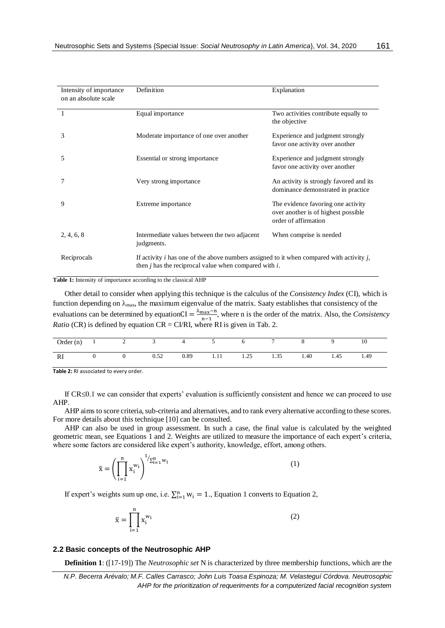| Intensity of importance<br>on an absolute scale | Definition                                                                                                                                                | Explanation                                                                                       |
|-------------------------------------------------|-----------------------------------------------------------------------------------------------------------------------------------------------------------|---------------------------------------------------------------------------------------------------|
|                                                 | Equal importance                                                                                                                                          | Two activities contribute equally to<br>the objective                                             |
| 3                                               | Moderate importance of one over another                                                                                                                   | Experience and judgment strongly<br>favor one activity over another                               |
| 5                                               | Essential or strong importance                                                                                                                            | Experience and judgment strongly<br>favor one activity over another                               |
| 7                                               | Very strong importance                                                                                                                                    | An activity is strongly favored and its<br>dominance demonstrated in practice                     |
| 9                                               | Extreme importance                                                                                                                                        | The evidence favoring one activity<br>over another is of highest possible<br>order of affirmation |
| 2, 4, 6, 8                                      | Intermediate values between the two adjacent<br>judgments.                                                                                                | When comprise is needed                                                                           |
| Reciprocals                                     | If activity i has one of the above numbers assigned to it when compared with activity $i$ ,<br>then $i$ has the reciprocal value when compared with $i$ . |                                                                                                   |

**Table 1:** Intensity of importance according to the classical AHP

Other detail to consider when applying this technique is the calculus of the *Consistency Index* (CI), which is function depending on  $\lambda_{\text{max}}$ , the maximum eigenvalue of the matrix. Saaty establishes that consistency of the evaluations can be determined by equationCI =  $\frac{\lambda_{\text{max}} - n}{n}$  $\frac{\text{max}-\text{n}}{\text{n}-1}$ , where n is the order of the matrix. Also, the *Consistency Ratio* (CR) is defined by equation CR = CI/RI, where RI is given in Tab. 2.

|                       |          | Order (n) $1$ 2 3 4 5 6 |                     |  | 8    | $\mathbf Q$ | 10   |
|-----------------------|----------|-------------------------|---------------------|--|------|-------------|------|
| $\Omega$<br><b>RI</b> | $\Omega$ | 0.52                    | 0.89 1.11 1.25 1.35 |  | 1.40 | 1.45        | 1.49 |

**Table 2:** RI associated to every order.

If CR≤0.1 we can consider that experts' evaluation is sufficiently consistent and hence we can proceed to use AHP.

AHP aims to score criteria, sub-criteria and alternatives, and to rank every alternative according to these scores. For more details about this technique [10] can be consulted.

AHP can also be used in group assessment. In such a case, the final value is calculated by the weighted geometric mean, see Equations 1 and 2. Weights are utilized to measure the importance of each expert's criteria, where some factors are considered like expert's authority, knowledge, effort, among others.

$$
\overline{\mathbf{x}} = \left(\prod_{i=1}^{n} \mathbf{x}_{i}^{w_{i}}\right)^{1/\sum_{i=1}^{n} w_{i}} \tag{1}
$$

If expert's weights sum up one, i.e.  $\sum_{i=1}^{n} w_i = 1$ ., Equation 1 converts to Equation 2,

$$
\overline{x} = \prod_{i=1}^n x_i^{w_i}
$$

# **2.2 Basic concepts of the Neutrosophic AHP**

**Definition 1**: ([17-19]) The *Neutrosophic set* N is characterized by three membership functions, which are the

(2)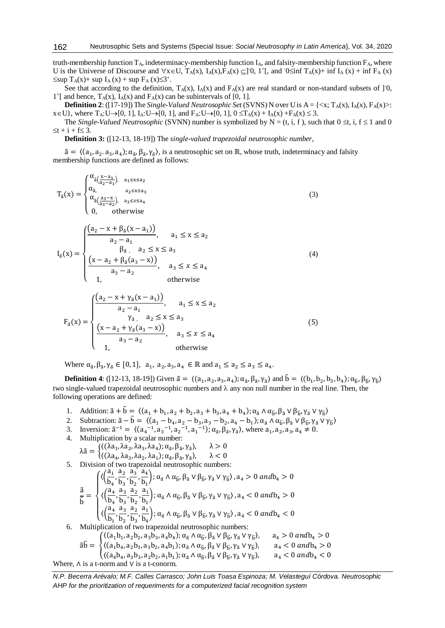truth-membership function  $T_A$ , indeterminacy-membership function I<sub>A</sub>, and falsity-membership function  $F_A$ , where U is the Universe of Discourse and  $\forall x \in U$ ,  $T_A(x)$ ,  $I_A(x)$ ,  $F_A(x) \subseteq ]0, 1^+[$ , and  $0 \le \inf T_A(x) + \inf I_A(x) + \inf F_A(x)$  $\leq$ sup T<sub>A</sub>(x)+ sup I<sub>A</sub>(x) + sup F<sub>A</sub>(x) $\leq$ 3<sup>+</sup>.

See that according to the definition,  $T_A(x)$ ,  $I_A(x)$  and  $F_A(x)$  are real standard or non-standard subsets of [0,  $1^+$ [ and hence, T<sub>A</sub>(x), I<sub>A</sub>(x) and F<sub>A</sub>(x) can be subintervals of [0, 1].

**Definition 2**: ([17-19]) The *Single-Valued Neutrosophic Set* (SVNS) N over U is  $A = \{ \langle x, T_A(x), I_A(x), F_A(x) \rangle :$  $x \in U$ , where  $T_A: U \rightarrow [0, 1]$ ,  $I_A: U \rightarrow [0, 1]$ , and  $F_A: U \rightarrow [0, 1]$ ,  $0 \le T_A(x) + I_A(x) + F_A(x) \le 3$ .

The *Single-Valued Neutrosophic* (SVNN) number is symbolized by N = (t, i, f), such that  $0 \le t$ , i,  $f \le 1$  and 0  $\leq t + i + f \leq 3$ .

**Definition 3:** ([12-13, 18-19]) The *single-valued trapezoidal neutrosophic number*,

 $\tilde{a} = \langle (a_1, a_2, a_3, a_4), \alpha_{\tilde{a}}, \beta_{\tilde{a}}, \gamma_{\tilde{a}} \rangle$ , is a neutrosophic set on ℝ, whose truth, indeterminacy and falsity membership functions are defined as follows:

$$
T_{\tilde{a}}(x) = \begin{cases} \alpha_{\tilde{a}}\left(\frac{x-a_1}{a_2-a_1}\right), & a_1 \le x \le a_2 \\ \alpha_{\tilde{a}}, & a_2 \le x \le a_3 \\ \alpha_{\tilde{a}}\left(\frac{a_3-x}{a_3-a_2}\right), & a_3 \le x \le a_4 \\ 0, & \text{otherwise} \end{cases}
$$
(3)  

$$
I_{\tilde{a}}(x) = \begin{cases} \frac{(a_2 - x + \beta_{\tilde{a}}(x-a_1))}{a_2-a_1}, & a_1 \le x \le a_2 \\ \frac{(x-a_2 + \beta_{\tilde{a}}(a_3-x))}{\beta_{\tilde{a}}, & a_2 \le x \le a_3 \\ a_3 - a_2, & a_3 \le x \le a_4 \\ 1, & \text{otherwise} \end{cases}
$$
(4)  

$$
F_{\tilde{a}}(x) = \begin{cases} \frac{(a_2 - x + \gamma_{\tilde{a}}(x-a_1))}{a_2-a_1}, & a_1 \le x \le a_2 \\ \frac{(x-a_2 + \gamma_{\tilde{a}}(a_3-x))}{\gamma_{\tilde{a}}, & a_2 \le x \le a_3} \\ (x-a_2 + \gamma_{\tilde{a}}(a_3-x)) & \text{otherwise} \end{cases}
$$
(5)

Where  $\alpha_{\tilde{a}}, \beta_{\tilde{a}}, \gamma_{\tilde{a}} \in [0,1], a_1, a_2, a_3, a_4 \in \mathbb{R}$  and  $a_1 \le a_2 \le a_3 \le a_4$ .

 $\frac{a_3 - a_2}{a_3 - a_2}$ ,  $a_3 \le x \le a_4$ 

1, otherwise

**Definition 4**: ([12-13, 18-19]) Given  $\tilde{a} = \langle (a_1, a_2, a_3, a_4); \alpha_{\tilde{a}}, \beta_{\tilde{a}}, \gamma_{\tilde{a}} \rangle$  and  $\tilde{b} = \langle (b_1, b_2, b_3, b_4); \alpha_{\tilde{b}}, \beta_{\tilde{b}}, \gamma_{\tilde{b}} \rangle$ two single-valued trapezoidal neutrosophic numbers and  $\lambda$  any non null number in the real line. Then, the following operations are defined:

- 1. Addition:  $\tilde{a} + \tilde{b} = \langle (a_1 + b_1, a_2 + b_2, a_3 + b_3, a_4 + b_4); \alpha_{\tilde{a}} \wedge \alpha_{\tilde{b}}, \beta_{\tilde{a}} \vee \beta_{\tilde{b}}, \gamma_{\tilde{a}} \vee \gamma_{\tilde{b}} \rangle$
- 2. Subtraction:  $\tilde{a} \tilde{b} = \langle (a_1 b_4, a_2 b_3, a_3 b_2, a_4 b_1) ; \alpha_{\tilde{a}} \wedge \alpha_{\tilde{b}}, \beta_{\tilde{a}} \vee \beta_{\tilde{b}}, \gamma_{\tilde{a}} \vee \gamma_{\tilde{b}} \rangle$
- 3. Inversion:  $\tilde{a}^{-1} = \langle (a_4^{-1}, a_3^{-1}, a_2^{-1}, a_1^{-1}) ; \alpha_{\tilde{a}}, \beta_{\tilde{a}}, \gamma_{\tilde{a}} \rangle$ , where  $a_1, a_2, a_3, a_4 \neq 0$ .
- 4. Multiplication by a scalar number:  $\lambda \tilde{a} = \begin{cases} \langle (\lambda a_1, \lambda a_2, \lambda a_3, \lambda a_4), \alpha_{\tilde{a}}, \beta_{\tilde{a}}, \gamma_{\tilde{a}} \rangle, & \lambda > 0 \\ \langle (\lambda a_1, \lambda a_2, \lambda a_3, \lambda a_4), \alpha_{\tilde{a}}, \beta_{\tilde{a}}, \gamma_{\tilde{a}} \rangle, & \lambda > 0 \end{cases}$  $\langle (\lambda a_4, \lambda a_3, \lambda a_2, \lambda a_1); \alpha_{\tilde{a}}, \beta_{\tilde{a}}, \gamma_{\tilde{a}} \rangle, \quad \lambda < 0$

 $\overline{\mathcal{L}}$  $\overline{1}$ 

5. Division of two trapezoidal neutrosophic numbers:

ã  $\frac{1}{6}$  =  $\sqrt{2}$  $\mathbf{I}$  $\mathbf{I}$  $\mathbf{I}$  $\left(\sqrt{\frac{a_1}{b}}\right)$  $\frac{a_1}{b_4}, \frac{a_2}{b_3}$  $\frac{a_2}{b_3}$ ,  $\frac{a_3}{b_2}$  $\frac{a_3}{b_2}$ ,  $\frac{a_4}{b_1}$  $\left(\frac{a_4}{b_1}\right)$ ;  $\alpha_{\tilde{a}} \wedge \alpha_{\tilde{b}}$ ,  $\beta_{\tilde{a}} \vee \beta_{\tilde{b}}$ ,  $\gamma_{\tilde{a}} \vee \gamma_{\tilde{b}}$ ,  $a_4 > 0$  and  $b_4 > 0$  $\langle \left( \frac{a_4}{b_1} \right)$  $\frac{a_4}{b_4}$ ,  $\frac{a_3}{b_3}$  $\frac{a_3}{b_3}$ ,  $\frac{a_2}{b_2}$  $\frac{a_2}{b_2}$ ,  $\frac{a_1}{b_1}$  $\left(\frac{\overline{a}_1}{b_1}\right)$ ;  $\alpha_{\tilde{a}} \wedge \alpha_{\tilde{b}}$ ,  $\beta_{\tilde{a}} \vee \beta_{\tilde{b}}$ ,  $\gamma_{\tilde{a}} \vee \gamma_{\tilde{b}}$ ,  $a_4 < 0$  and  $b_4 > 0$  $\langle \left( \frac{a_4}{1} \right)$  $\frac{a_4}{b_1}$ ,  $\frac{a_3}{b_2}$  $\frac{a_3}{b_2}$ ,  $\frac{a_2}{b_3}$  $\frac{a_2}{b_3}$ ,  $\frac{a_1}{b_4}$  $\left(\frac{a_1}{b_4}\right)$ ;  $\alpha_{\tilde{a}} \wedge \alpha_{\tilde{b}}$ ,  $\beta_{\tilde{a}} \vee \beta_{\tilde{b}}$ ,  $\gamma_{\tilde{a}} \vee \gamma_{\tilde{b}}$ ,  $a_4 < 0$  and  $b_4 < 0$ 6. Multiplication of two trapezoidal neutrosophic numbers:  $\tilde{a}\tilde{b} = \left\{ \langle (a_1b_4, a_2b_3, a_3b_2, a_4b_1); \alpha_{\tilde{a}} \wedge \alpha_{\tilde{b}}, \beta_{\tilde{a}} \vee \beta_{\tilde{b}}, \gamma_{\tilde{a}} \vee \gamma_{\tilde{b}} \rangle, \quad a_4 < 0 \ and \ b_4 > 0 \right.$  $\langle (a_1b_1, a_2b_2, a_3b_3, a_4b_4)$ ;  $\alpha_{\tilde{a}} \wedge \alpha_{\tilde{b}}$ ,  $\beta_{\tilde{a}} \vee \beta_{\tilde{b}}$ ,  $\gamma_{\tilde{a}} \vee \gamma_{\tilde{b}}$ ,  $a_4 > 0$  and  $b_4 > 0$ 

$$
\left\{ \begin{array}{ll} \left( (a_4b_4, a_3b_3, a_2b_2, a_1b_1), \alpha_{\tilde{a}} \wedge \alpha_{\tilde{b}}, \beta_{\tilde{a}} \vee \beta_{\tilde{b}}, \gamma_{\tilde{a}} \vee \gamma_{\tilde{b}} \right), & a_4 < 0 \text{ and } b_4 < 0\\ \text{Where, } \wedge \text{ is a t-norm and } \vee \text{ is a t-conorm.} \end{array} \right.
$$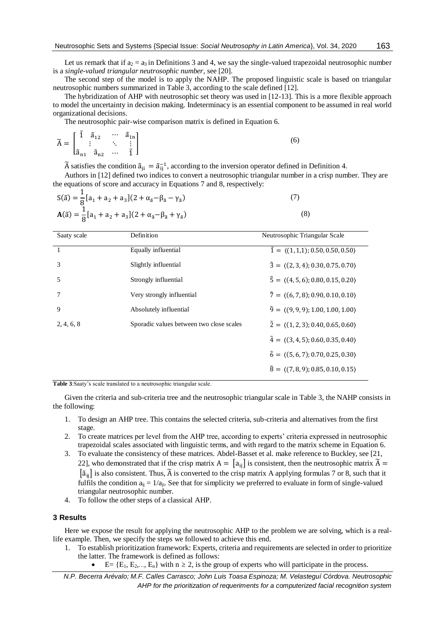Let us remark that if  $a_2 = a_3$  in Definitions 3 and 4, we say the single-valued trapezoidal neutrosophic number is a *single-valued triangular neutrosophic number*, see [20].

The second step of the model is to apply the NAHP. The proposed linguistic scale is based on triangular neutrosophic numbers summarized in Table 3, according to the scale defined [12].

The hybridization of AHP with neutrosophic set theory was used in [12-13]. This is a more flexible approach to model the uncertainty in decision making. Indeterminacy is an essential component to be assumed in real world organizational decisions.

The neutrosophic pair-wise comparison matrix is defined in Equation 6.

$$
\widetilde{A} = \begin{bmatrix} \widetilde{1} & \widetilde{a}_{12} & \cdots & \widetilde{a}_{1n} \\ \vdots & & \ddots & \vdots \\ \widetilde{a}_{n1} & \widetilde{a}_{n2} & \cdots & \widetilde{1} \end{bmatrix}
$$
\n(6)

 $\tilde{A}$  satisfies the condition  $\tilde{a}_{ji} = \tilde{a}_{ij}^{-1}$ , according to the inversion operator defined in Definition 4.

Authors in [12] defined two indices to convert a neutrosophic triangular number in a crisp number. They are the equations of score and accuracy in Equations 7 and 8, respectively:

$$
S(\tilde{a}) = \frac{1}{8} [a_1 + a_2 + a_3] (2 + \alpha_{\tilde{a}} - \beta_{\tilde{a}} - \gamma_{\tilde{a}})
$$
  
\n
$$
A(\tilde{a}) = \frac{1}{8} [a_1 + a_2 + a_3] (2 + \alpha_{\tilde{a}} - \beta_{\tilde{a}} + \gamma_{\tilde{a}})
$$
\n(8)

| Saaty scale | Definition                               | Neutrosophic Triangular Scale                             |
|-------------|------------------------------------------|-----------------------------------------------------------|
|             | Equally influential                      | $\tilde{1} = \langle (1,1,1); 0.50, 0.50, 0.50 \rangle$   |
| 3           | Slightly influential                     | $\tilde{3} = \langle (2,3,4); 0.30, 0.75, 0.70 \rangle$   |
| 5           | Strongly influential                     | $\tilde{5} = \langle (4, 5, 6); 0.80, 0.15, 0.20 \rangle$ |
| 7           | Very strongly influential                | $\tilde{7} = \langle (6, 7, 8); 0.90, 0.10, 0.10 \rangle$ |
| 9           | Absolutely influential                   | $\tilde{9} = \langle (9, 9, 9); 1.00, 1.00, 1.00 \rangle$ |
| 2, 4, 6, 8  | Sporadic values between two close scales | $\tilde{2} = \langle (1, 2, 3); 0.40, 0.65, 0.60 \rangle$ |
|             |                                          | $\tilde{4} = \langle (3,4,5); 0.60, 0.35, 0.40 \rangle$   |
|             |                                          | $\tilde{6} = \langle (5,6,7); 0.70, 0.25, 0.30 \rangle$   |
|             |                                          | $\tilde{8} = \langle (7,8,9); 0.85, 0.10, 0.15 \rangle$   |

**Table 3**:Saaty's scale translated to a neutrosophic triangular scale.

Given the criteria and sub-criteria tree and the neutrosophic triangular scale in Table 3, the NAHP consists in the following:

- 1. To design an AHP tree. This contains the selected criteria, sub-criteria and alternatives from the first stage.
- 2. To create matrices per level from the AHP tree, according to experts' criteria expressed in neutrosophic trapezoidal scales associated with linguistic terms, and with regard to the matrix scheme in Equation 6.
- 3. To evaluate the consistency of these matrices. Abdel-Basset et al. make reference to Buckley, see [21, 22], who demonstrated that if the crisp matrix  $A = \begin{bmatrix} a_{ii} \end{bmatrix}$  is consistent, then the neutrosophic matrix  $\tilde{A} =$  $[\tilde{a}_{ii}]$  is also consistent. Thus,  $\tilde{A}$  is converted to the crisp matrix A applying formulas 7 or 8, such that it fulfils the condition  $a_{ij} = 1/a_{ji}$ . See that for simplicity we preferred to evaluate in form of single-valued triangular neutrosophic number.
- 4. To follow the other steps of a classical AHP.

# **3 Results**

Here we expose the result for applying the neutrosophic AHP to the problem we are solving, which is a reallife example. Then, we specify the steps we followed to achieve this end.

- 1. To establish prioritization framework: Experts, criteria and requirements are selected in order to prioritize the latter. The framework is defined as follows:
	- E=  ${E_1, E_2,..., E_n}$  with  $n \ge 2$ , is the group of experts who will participate in the process.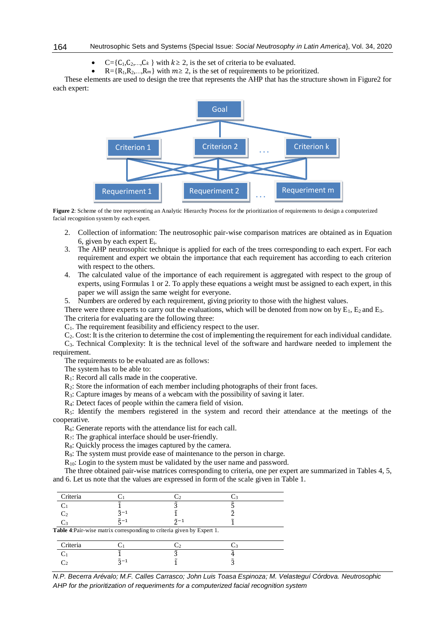- $C = \{C_1, C_2, ..., C_k\}$  with  $k \ge 2$ , is the set of criteria to be evaluated.
- R={R<sub>1</sub>,R<sub>2</sub>,...,R<sub>m</sub>} with  $m \ge 2$ , is the set of requirements to be prioritized.

These elements are used to design the tree that represents the AHP that has the structure shown in Figure2 for each expert:



**Figure 2**: Scheme of the tree representing an Analytic Hierarchy Process for the prioritization of requirements to design a computerized facial recognition system by each expert.

- 2. Collection of information: The neutrosophic pair-wise comparison matrices are obtained as in Equation 6, given by each expert Ei.
- 3. The AHP neutrosophic technique is applied for each of the trees corresponding to each expert. For each requirement and expert we obtain the importance that each requirement has according to each criterion with respect to the others.
- 4. The calculated value of the importance of each requirement is aggregated with respect to the group of experts, using Formulas 1 or 2. To apply these equations a weight must be assigned to each expert, in this paper we will assign the same weight for everyone.

5. Numbers are ordered by each requirement, giving priority to those with the highest values.

There were three experts to carry out the evaluations, which will be denoted from now on by  $E_1$ ,  $E_2$  and  $E_3$ .

The criteria for evaluating are the following three:

C1. The requirement feasibility and efficiency respect to the user.

C2. Cost: It is the criterion to determine the cost of implementing the requirement for each individual candidate.

C3. Technical Complexity: It is the technical level of the software and hardware needed to implement the requirement.

The requirements to be evaluated are as follows:

The system has to be able to:

R1: Record all calls made in the cooperative.

R<sub>2</sub>: Store the information of each member including photographs of their front faces.

R3: Capture images by means of a webcam with the possibility of saving it later.

R4: Detect faces of people within the camera field of vision.

 $R<sub>5</sub>$ : Identify the members registered in the system and record their attendance at the meetings of the cooperative.

 $R<sub>6</sub>$ : Generate reports with the attendance list for each call.

R<sub>7</sub>: The graphical interface should be user-friendly.

R<sub>8</sub>: Quickly process the images captured by the camera.

R9: The system must provide ease of maintenance to the person in charge.

R<sub>10</sub>: Login to the system must be validated by the user name and password.

The three obtained pair-wise matrices corresponding to criteria, one per expert are summarized in Tables 4, 5, and 6. Let us note that the values are expressed in form of the scale given in Table 1.

|                 | C2             |       |                                                                        |
|-----------------|----------------|-------|------------------------------------------------------------------------|
|                 | ቫ              |       |                                                                        |
| $\tilde{z}$ -1  |                |       |                                                                        |
| $\tilde{r}$ - 1 | $\tilde{2}$ -1 |       |                                                                        |
|                 |                |       |                                                                        |
|                 | . . 2          | . . 3 |                                                                        |
|                 | ์ร             |       |                                                                        |
| $5 - 1$         |                |       |                                                                        |
|                 |                |       | Table 4: Pair-wise matrix corresponding to criteria given by Expert 1. |

*N.P. Becerra Arévalo; M.F. Calles Carrasco; John Luis Toasa Espinoza; M. Velasteguí Córdova. Neutrosophic AHP for the prioritization of requeriments for a computerized facial recognition system*

164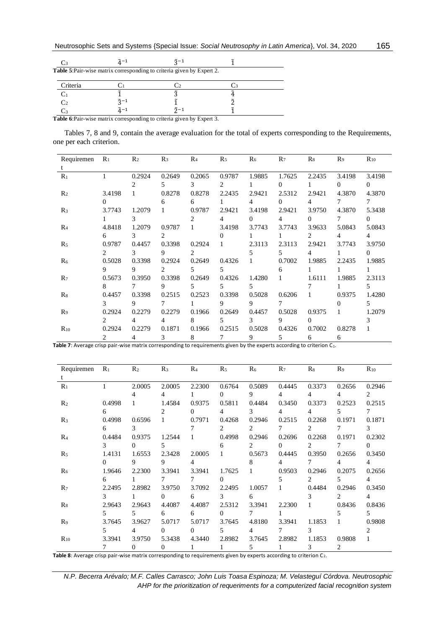|                | $\tilde{A}$ – 1     | $\tilde{2}$ -1                                                                |  |
|----------------|---------------------|-------------------------------------------------------------------------------|--|
|                |                     | <b>Table 5: Pair-wise matrix corresponding to criteria given by Expert 2.</b> |  |
| Criteria       |                     |                                                                               |  |
|                |                     |                                                                               |  |
| C <sub>2</sub> | $\tilde{2}$ -1      |                                                                               |  |
|                | $\tilde{\lambda}-1$ | $\tilde{2}$ -1                                                                |  |
|                |                     | Table 6. Deix vise metrix corresponding to eritaria given by Expert 2         |  |

**Table 6**:Pair-wise matrix corresponding to criteria given by Expert 3.

Tables 7, 8 and 9, contain the average evaluation for the total of experts corresponding to the Requirements, one per each criterion.

| Requiremen     | $R_1$          | R <sub>2</sub> | $R_3$          | R <sub>4</sub> | $R_5$  | $R_6$  | $R_7$    | $R_8$  | R <sub>9</sub> | $R_{10}$ |
|----------------|----------------|----------------|----------------|----------------|--------|--------|----------|--------|----------------|----------|
|                |                |                |                |                |        |        |          |        |                |          |
| $R_1$          | 1              | 0.2924         | 0.2649         | 0.2065         | 0.9787 | 1.9885 | 1.7625   | 2.2435 | 3.4198         | 3.4198   |
|                |                |                | 5              | 3              | 2      |        | 0        |        | $\Omega$       | $\Omega$ |
| R <sub>2</sub> | 3.4198         |                | 0.8278         | 0.8278         | 2.2435 | 2.9421 | 2.5312   | 2.9421 | 4.3870         | 4.3870   |
|                | $\mathbf{0}$   |                | 6              | 6              |        | 4      | $\Omega$ | 4      |                | 7        |
| $R_3$          | 3.7743         | 1.2079         | 1              | 0.9787         | 2.9421 | 3.4198 | 2.9421   | 3.9750 | 4.3870         | 5.3438   |
|                |                | 3              |                |                | 4      | 0      | 4        | 0      | 7              | $\Omega$ |
| R <sub>4</sub> | 4.8418         | 1.2079         | 0.9787         | 1              | 3.4198 | 3.7743 | 3.7743   | 3.9633 | 5.0843         | 5.0843   |
|                | 6              | 3              | $\mathfrak{D}$ |                | 0      |        |          | 2      | 4              | 4        |
| R <sub>5</sub> | 0.9787         | 0.4457         | 0.3398         | 0.2924         |        | 2.3113 | 2.3113   | 2.9421 | 3.7743         | 3.9750   |
|                | 2              | 3              | 9              | 2              |        | 5      | 5        | 4      |                | $\Omega$ |
| R <sub>6</sub> | 0.5028         | 0.3398         | 0.2924         | 0.2649         | 0.4326 | 1      | 0.7002   | 1.9885 | 2.2435         | 1.9885   |
|                | 9              | 9              | $\mathfrak{D}$ | 5              | 5      |        | 6        |        |                | 1        |
| $R_7$          | 0.5673         | 0.3950         | 0.3398         | 0.2649         | 0.4326 | 1.4280 | 1        | 1.6111 | 1.9885         | 2.3113   |
|                | 8              |                | 9              | 5.             | 5      | 5      |          |        |                | 5        |
| $R_8$          | 0.4457         | 0.3398         | 0.2515         | 0.2523         | 0.3398 | 0.5028 | 0.6206   | 1      | 0.9375         | 1.4280   |
|                | 3              | 9              | 7              |                | 9      | 9      | $\tau$   |        | 0              | 5.       |
| R <sub>9</sub> | 0.2924         | 0.2279         | 0.2279         | 0.1966         | 0.2649 | 0.4457 | 0.5028   | 0.9375 | 1              | 1.2079   |
|                | $\mathfrak{D}$ | 4              | 4              | 8              | 5      | 3      | 9        | 0      |                | 3        |
| $R_{10}$       | 0.2924         | 0.2279         | 0.1871         | 0.1966         | 0.2515 | 0.5028 | 0.4326   | 0.7002 | 0.8278         | 1        |
|                | 2              | 4              | 3              | 8              | 7      | 9      | 5        | 6      | 6              |          |

**Table 7**: Average crisp pair-wise matrix corresponding to requirements given by the experts according to criterion C1.

| Requiremen     | $R_1$    | R <sub>2</sub> | R <sub>3</sub> | R <sub>4</sub> | R <sub>5</sub> | R <sub>6</sub> | $R_7$  | $R_8$          | R <sub>9</sub> | $R_{10}$       |
|----------------|----------|----------------|----------------|----------------|----------------|----------------|--------|----------------|----------------|----------------|
| t.             |          |                |                |                |                |                |        |                |                |                |
| $R_1$          | 1        | 2.0005         | 2.0005         | 2.2300         | 0.6764         | 0.5089         | 0.4445 | 0.3373         | 0.2656         | 0.2946         |
|                |          | 4              | 4              |                | $\Omega$       | 9              | 4      | 4              | 4              | $\mathfrak{D}$ |
| R <sub>2</sub> | 0.4998   |                | 1.4584         | 0.9375         | 0.5811         | 0.4484         | 0.3450 | 0.3373         | 0.2523         | 0.2515         |
|                | 6        |                | 2.             | $\Omega$       | 4              | 3              | 4      | 4              | 5.             | 7              |
| $R_3$          | 0.4998   | 0.6596         | 1              | 0.7971         | 0.4268         | 0.2946         | 0.2515 | 0.2268         | 0.1971         | 0.1871         |
|                | 6        | 3              |                |                | 2              | 2              | 7      | 2              | 7              | 3              |
| R <sub>4</sub> | 0.4484   | 0.9375         | 1.2544         | 1              | 0.4998         | 0.2946         | 0.2696 | 0.2268         | 0.1971         | 0.2302         |
|                | 3        | 0              | 5              |                | 6              | 2              | 0      | 2              | 7              | $\Omega$       |
| R <sub>5</sub> | 1.4131   | 1.6553         | 2.3428         | 2.0005         | 1.             | 0.5673         | 0.4445 | 0.3950         | 0.2656         | 0.3450         |
|                | $\Omega$ | 9              | 9              | 4              |                | 8              | 4      | 7              | 4              | 4              |
| R <sub>6</sub> | 1.9646   | 2.2300         | 3.3941         | 3.3941         | 1.7625         | 1              | 0.9503 | 0.2946         | 0.2075         | 0.2656         |
|                | 6        |                | 7              | 7              | $\Omega$       |                | 5.     | $\overline{2}$ | 5.             | 4              |
| $R_7$          | 2.2495   | 2.8982         | 3.9750         | 3.7092         | 2.2495         | 1.0057         | 1      | 0.4484         | 0.2946         | 0.3450         |
|                | 3        |                | 0              | 6              | 3              | 6              |        | 3              | $\overline{2}$ | 4              |
| $R_8$          | 2.9643   | 2.9643         | 4.4087         | 4.4087         | 2.5312         | 3.3941         | 2.2300 | 1              | 0.8436         | 0.8436         |
|                | 5        | 5              | 6              | 6              | $\Omega$       | 7              | 1      |                | 5.             | 5              |
| R9             | 3.7645   | 3.9627         | 5.0717         | 5.0717         | 3.7645         | 4.8180         | 3.3941 | 1.1853         | 1              | 0.9808         |
|                | 5.       | 4              | 0              | $\Omega$       | 5.             | 4              | 7      | 3              |                | $\mathfrak{D}$ |
| $R_{10}$       | 3.3941   | 3.9750         | 5.3438         | 4.3440         | 2.8982         | 3.7645         | 2.8982 | 1.1853         | 0.9808         | 1              |
|                |          | $\Omega$       | $\Omega$       | 1              |                | 5              | 1      | 3              | 2              |                |

**Table 8**: Average crisp pair-wise matrix corresponding to requirements given by experts according to criterion C2.

*N.P. Becerra Arévalo; M.F. Calles Carrasco; John Luis Toasa Espinoza; M. Velasteguí Córdova. Neutrosophic AHP for the prioritization of requeriments for a computerized facial recognition system*

165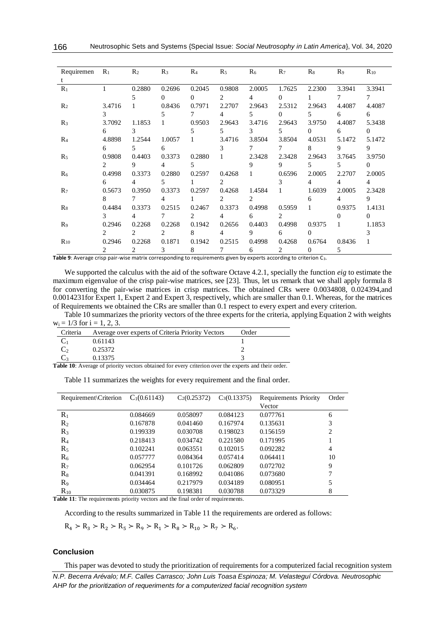| Requiremen     | $R_1$          | R <sub>2</sub> | $R_3$          | R <sub>4</sub> | $R_5$        | R <sub>6</sub> | $R_7$          | $R_8$          | $R_9$          | $R_{10}$       |
|----------------|----------------|----------------|----------------|----------------|--------------|----------------|----------------|----------------|----------------|----------------|
| t              |                |                |                |                |              |                |                |                |                |                |
| $R_1$          | 1              | 0.2880         | 0.2696         | 0.2045         | 0.9808       | 2.0005         | 1.7625         | 2.2300         | 3.3941         | 3.3941         |
|                |                | 5              | $\Omega$       | $\Omega$       | 2            | 4              | $\Omega$       |                | 7              | 7              |
| R <sub>2</sub> | 3.4716         |                | 0.8436         | 0.7971         | 2.2707       | 2.9643         | 2.5312         | 2.9643         | 4.4087         | 4.4087         |
|                | 3              |                | 5              | 7              | 4            | 5              | $\Omega$       | 5.             | 6              | 6              |
| R <sub>3</sub> | 3.7092         | 1.1853         |                | 0.9503         | 2.9643       | 3.4716         | 2.9643         | 3.9750         | 4.4087         | 5.3438         |
|                | 6              | 3              |                | 5              | 5            | 3              | 5              | $\Omega$       | 6              | $\Omega$       |
| R <sub>4</sub> | 4.8898         | 1.2544         | 1.0057         |                | 3.4716       | 3.8504         | 3.8504         | 4.0531         | 5.1472         | 5.1472         |
|                | 6              | 5              | 6              |                | 3            | 7              | 7              | 8              | 9              | 9              |
| R <sub>5</sub> | 0.9808         | 0.4403         | 0.3373         | 0.2880         | $\mathbf{1}$ | 2.3428         | 2.3428         | 2.9643         | 3.7645         | 3.9750         |
|                | $\mathfrak{D}$ | 9              | 4              | 5              |              | 9              | 9              | 5.             | 5.             | $\Omega$       |
| R <sub>6</sub> | 0.4998         | 0.3373         | 0.2880         | 0.2597         | 0.4268       | $\mathbf{1}$   | 0.6596         | 2.0005         | 2.2707         | 2.0005         |
|                | 6              | 4              | 5              |                | 2            |                | 3              | 4              | $\overline{4}$ | $\overline{4}$ |
| $R_7$          | 0.5673         | 0.3950         | 0.3373         | 0.2597         | 0.4268       | 1.4584         | 1              | 1.6039         | 2.0005         | 2.3428         |
|                | 8              | 7              | 4              |                | 2            | 2              |                | 6              | $\overline{4}$ | 9              |
| $R_8$          | 0.4484         | 0.3373         | 0.2515         | 0.2467         | 0.3373       | 0.4998         | 0.5959         | 1              | 0.9375         | 1.4131         |
|                | 3              | 4              |                | 2              | 4            | 6              | 2              |                | 0              | $\Omega$       |
| R <sub>9</sub> | 0.2946         | 0.2268         | 0.2268         | 0.1942         | 0.2656       | 0.4403         | 0.4998         | 0.9375         | $\mathbf{1}$   | 1.1853         |
|                | $\mathcal{L}$  | $2^{1}$        | $\mathfrak{D}$ | 8              | 4            | 9              | 6              | $\Omega$       |                | 3              |
| $R_{10}$       | 0.2946         | 0.2268         | 0.1871         | 0.1942         | 0.2515       | 0.4998         | 0.4268         | 0.6764         | 0.8436         | 1              |
|                | 2              | 2              | 3              | 8              | 7            | 6              | $\overline{2}$ | $\overline{0}$ | 5              |                |

**Table 9**: Average crisp pair-wise matrix corresponding to requirements given by experts according to criterion C3.

We supported the calculus with the aid of the software Octave 4.2.1, specially the function *eig* to estimate the maximum eigenvalue of the crisp pair-wise matrices, see [23]. Thus, let us remark that we shall apply formula 8 for converting the pair-wise matrices in crisp matrices. The obtained CRs were 0.0034808, 0.024394,and 0.0014231for Expert 1, Expert 2 and Expert 3, respectively, which are smaller than 0.1. Whereas, for the matrices of Requirements we obtained the CRs are smaller than 0.1 respect to every expert and every criterion.

Table 10 summarizes the priority vectors of the three experts for the criteria, applying Equation 2 with weights  $w_i = 1/3$  for  $i = 1, 2, 3$ .

|                | Criteria Average over experts of Criteria Priority Vectors | Order |
|----------------|------------------------------------------------------------|-------|
| $\mathbf{C}_1$ | 0.61143                                                    |       |
| $C_{2}$        | 0.25372                                                    |       |
|                | 0.13375                                                    |       |

**Table 10**: Average of priority vectors obtained for every criterion over the experts and their order.

| Requirement\Criterion | $C_1(0.61143)$ | $C_2(0.25372)$ | $C_3(0.13375)$ | Requirements Priority | Order |
|-----------------------|----------------|----------------|----------------|-----------------------|-------|
|                       |                |                |                | Vector                |       |
| $R_1$                 | 0.084669       | 0.058097       | 0.084123       | 0.077761              | 6     |
| $R_2$                 | 0.167878       | 0.041460       | 0.167974       | 0.135631              | 3     |
| $R_3$                 | 0.199339       | 0.030708       | 0.198023       | 0.156159              | 2     |
| $R_4$                 | 0.218413       | 0.034742       | 0.221580       | 0.171995              | 1     |
| $R_5$                 | 0.102241       | 0.063551       | 0.102015       | 0.092282              | 4     |
| R <sub>6</sub>        | 0.057777       | 0.084364       | 0.057414       | 0.064411              | 10    |
| $R_7$                 | 0.062954       | 0.101726       | 0.062809       | 0.072702              | 9     |
| $R_8$                 | 0.041391       | 0.168992       | 0.041086       | 0.073680              | 7     |
| $R_9$                 | 0.034464       | 0.217979       | 0.034189       | 0.080951              | 5     |
| $R_{10}$              | 0.030875       | 0.198381       | 0.030788       | 0.073329              | 8     |

**Table 11**: The requirements priority vectors and the final order of requirements.

According to the results summarized in Table 11 the requirements are ordered as follows:

 $R_4 > R_3 > R_2 > R_5 > R_9 > R_1 > R_8 > R_{10} > R_7 > R_6.$ 

# **Conclusion**

This paper was devoted to study the prioritization of requirements for a computerized facial recognition system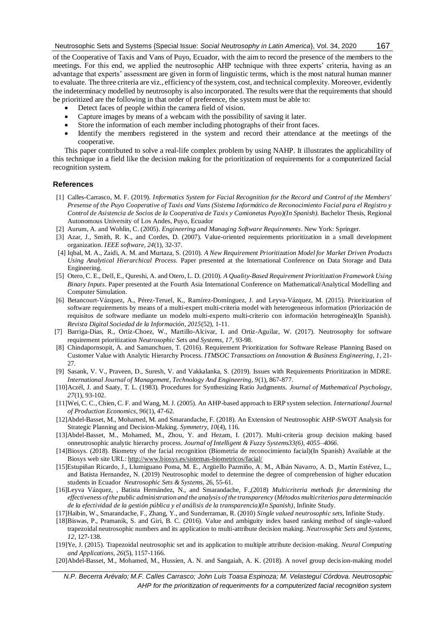167

of the Cooperative of Taxis and Vans of Puyo, Ecuador, with the aim to record the presence of the members to the meetings. For this end, we applied the neutrosophic AHP technique with three experts' criteria, having as an advantage that experts' assessment are given in form of linguistic terms, which is the most natural human manner to evaluate. The three criteria are viz., efficiency of the system, cost, and technical complexity. Moreover, evidently the indeterminacy modelled by neutrosophy is also incorporated. The results were that the requirements that should be prioritized are the following in that order of preference, the system must be able to:

- Detect faces of people within the camera field of vision.
- Capture images by means of a webcam with the possibility of saving it later.
- Store the information of each member including photographs of their front faces.
- Identify the members registered in the system and record their attendance at the meetings of the cooperative.

This paper contributed to solve a real-life complex problem by using NAHP. It illustrates the applicability of this technique in a field like the decision making for the prioritization of requirements for a computerized facial recognition system.

# **References**

- [1] Calles-Carrasco, M. F. (2019). *Informatics System for Facial Recognition for the Record and Control of the Members' Presense of the Puyo Cooperative of Taxis and Vans (Sistema Informático de Reconocimiento Facial para el Registro y Control de Asistencia de Socios de la Cooperativa de Taxis y Camionetas Puyo)(In Spanish).* Bachelor Thesis, Regional Autonomous University of Los Andes, Puyo, Ecuador
- [2] Aurum, A. and Wohlin, C. (2005). *Engineering and Managing Software Requirements*. New York: Springer.
- [3] Azar, J., Smith, R. K., and Cordes, D. (2007). Value-oriented requirements prioritization in a small development organization. *IEEE software, 24*(1), 32-37.
- [4] Iqbal, M. A., Zaidi, A. M. and Murtaza, S. (2010). *A New Requirement Prioritization Model for Market Driven Products Using Analytical Hierarchical Process.* Paper presented at the International Conference on Data Storage and Data Engineering.
- [5] Otero, C. E., Dell, E., Qureshi, A. and Otero, L. D. (2010). *A Quality-Based Requirement Prioritization Framework Using Binary Inputs*. Paper presented at the Fourth Asia International Conference on Mathematical/Analytical Modelling and Computer Simulation.
- [6] Betancourt-Vázquez, A., Pérez-Teruel, K., Ramírez-Domínguez, J. and Leyva-Vázquez, M. (2015). Prioritization of software requirements by means of a multi-expert multi-criteria model with heterogeneous information (Priorización de requisitos de software mediante un modelo multi-experto multi-criterio con información heterogénea)(In Spanish). *Revista Digital Sociedad de la Información, 2015*(52), 1-11.
- [7] Barriga-Dias, R., Ortiz-Choez, W., Martillo-Alcivar, I. and Ortiz-Aguilar, W. (2017). Neutrosophy for software requirement prioritization *Neutrosophic Sets and Systems, 17*, 93-98.
- [8] Chindapornsopit, A. and Samanchuen, T. (2016). Requirement Prioritization for Software Release Planning Based on Customer Value with Analytic Hierarchy Process. *ITMSOC Transactions on Innovation & Business Engineering, 1*, 21- 27.
- [9] Sasank, V. V., Praveen, D., Suresh, V. and Vakkalanka, S. (2019). Issues with Requirements Prioritization in MDRE. *International Journal of Management, Technology And Engineering, 9*(1), 867-877.
- [10]Aczél, J. and Saaty, T. L. (1983). Procedures for Synthesizing Ratio Judgments. *Journal of Mathematical Psychology, 27*(1), 93-102.
- [11]Wei, C. C., Chien, C. F. and Wang, M. J. (2005). An AHP-based approach to ERP system selection. *International Journal of Production Economics, 96*(1), 47-62.
- [12]Abdel-Basset, M., Mohamed, M. and Smarandache, F. (2018). An Extension of Neutrosophic AHP-SWOT Analysis for Strategic Planning and Decision-Making. *Symmetry, 10*(4), 116.
- [13]Abdel-Basset, M., Mohamed, M., Zhou, Y. and Hezam, I. (2017). Multi-criteria group decision making based onneutrosophic analytic hierarchy process. *Journal of Intelligent & Fuzzy Systems33(6), 4055–4066.*
- [14]Biosys. (2018). Biometry of the facial recognition (Biometria de reconocimiento facial)(In Spanish) Available at the Biosys web site URL:<http://www.biosys.es/sistemas-biometricos/facial/>
- [15]Estupiñan Ricardo, J., Llumiguano Poma, M. E., Argüello Pazmiño, A. M., Albán Navarro, A. D., Martín Estévez, L., and Batista Hernandez, N. (2019) Neutrosophic model to determine the degree of comprehension of higher education students in Ecuador *Neutrosophic Sets & Systems,* 26, 55-61.
- [16]Leyva Vázquez, , Batista Hernández, N., and Smarandache, F.,(2018) *Multicriteria methods for determining the effectiveness of the public administration and the analysis of the transparency* (*Métodos multicriterios para determinación de la efectividad de la gestión pública y el análisis de la transparencia)(In Spanish)*, Infinite Study.
- [17]Haibin, W., Smarandache, F., Zhang, Y., and Sunderraman, R. (2010) *Single valued neutrosophic sets*, Infinite Study.
- [18]Biswas, P., Pramanik, S. and Giri, B. C. (2016). Value and ambiguity index based ranking method of single-valued trapezoidal neutrosophic numbers and its application to multi-attribute decision making. *Neutrosophic Sets and Systems, 12*, 127-138.
- [19]Ye, J. (2015). Trapezoidal neutrosophic set and its application to multiple attribute decision-making. *Neural Computing and Applications, 26*(5), 1157-1166.
- [20]Abdel-Basset, M., Mohamed, M., Hussien, A. N. and Sangaiah, A. K. (2018). A novel group decision-making model